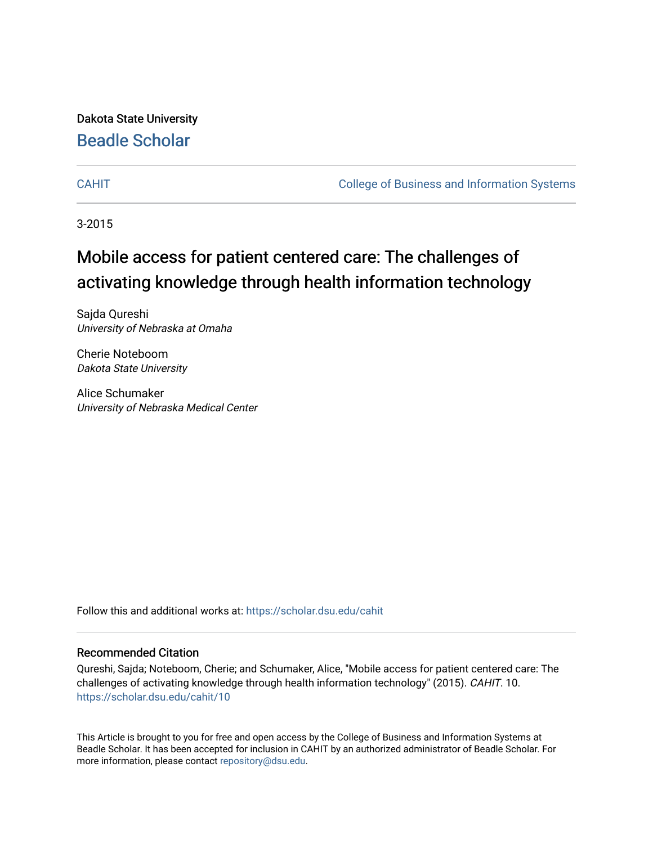Dakota State University [Beadle Scholar](https://scholar.dsu.edu/)

[CAHIT](https://scholar.dsu.edu/cahit) [College of Business and Information Systems](https://scholar.dsu.edu/biscollege) 

3-2015

# Mobile access for patient centered care: The challenges of activating knowledge through health information technology

Sajda Qureshi University of Nebraska at Omaha

Cherie Noteboom Dakota State University

Alice Schumaker University of Nebraska Medical Center

Follow this and additional works at: [https://scholar.dsu.edu/cahit](https://scholar.dsu.edu/cahit?utm_source=scholar.dsu.edu%2Fcahit%2F10&utm_medium=PDF&utm_campaign=PDFCoverPages) 

#### Recommended Citation

Qureshi, Sajda; Noteboom, Cherie; and Schumaker, Alice, "Mobile access for patient centered care: The challenges of activating knowledge through health information technology" (2015). CAHIT. 10. [https://scholar.dsu.edu/cahit/10](https://scholar.dsu.edu/cahit/10?utm_source=scholar.dsu.edu%2Fcahit%2F10&utm_medium=PDF&utm_campaign=PDFCoverPages) 

This Article is brought to you for free and open access by the College of Business and Information Systems at Beadle Scholar. It has been accepted for inclusion in CAHIT by an authorized administrator of Beadle Scholar. For more information, please contact [repository@dsu.edu.](mailto:repository@dsu.edu)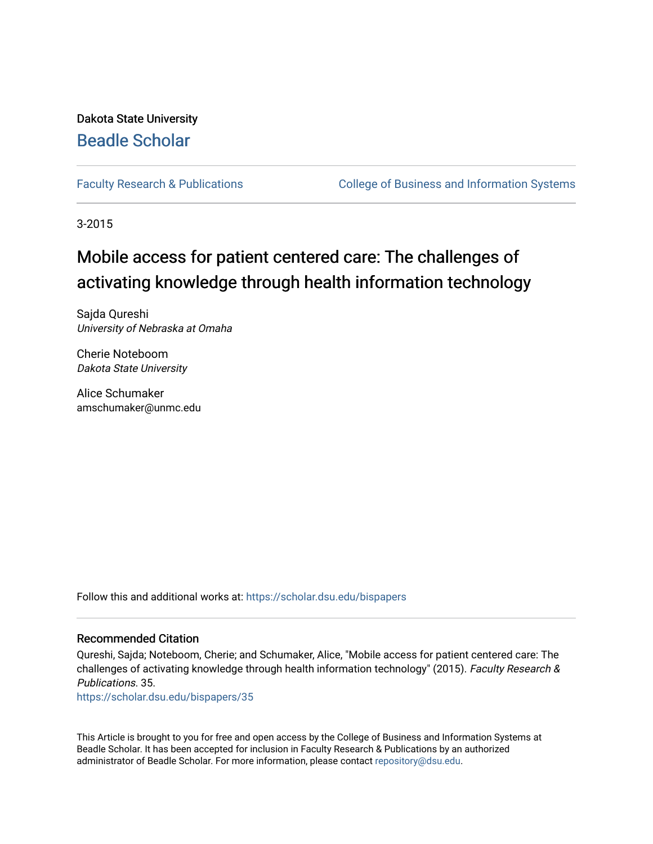Dakota State University [Beadle Scholar](https://scholar.dsu.edu/)

[Faculty Research & Publications](https://scholar.dsu.edu/bispapers) **College of Business and Information Systems** 

3-2015

# Mobile access for patient centered care: The challenges of activating knowledge through health information technology

Sajda Qureshi University of Nebraska at Omaha

Cherie Noteboom Dakota State University

Alice Schumaker amschumaker@unmc.edu

Follow this and additional works at: [https://scholar.dsu.edu/bispapers](https://scholar.dsu.edu/bispapers?utm_source=scholar.dsu.edu%2Fbispapers%2F35&utm_medium=PDF&utm_campaign=PDFCoverPages)

#### Recommended Citation

Qureshi, Sajda; Noteboom, Cherie; and Schumaker, Alice, "Mobile access for patient centered care: The challenges of activating knowledge through health information technology" (2015). Faculty Research & Publications. 35.

[https://scholar.dsu.edu/bispapers/35](https://scholar.dsu.edu/bispapers/35?utm_source=scholar.dsu.edu%2Fbispapers%2F35&utm_medium=PDF&utm_campaign=PDFCoverPages) 

This Article is brought to you for free and open access by the College of Business and Information Systems at Beadle Scholar. It has been accepted for inclusion in Faculty Research & Publications by an authorized administrator of Beadle Scholar. For more information, please contact [repository@dsu.edu.](mailto:repository@dsu.edu)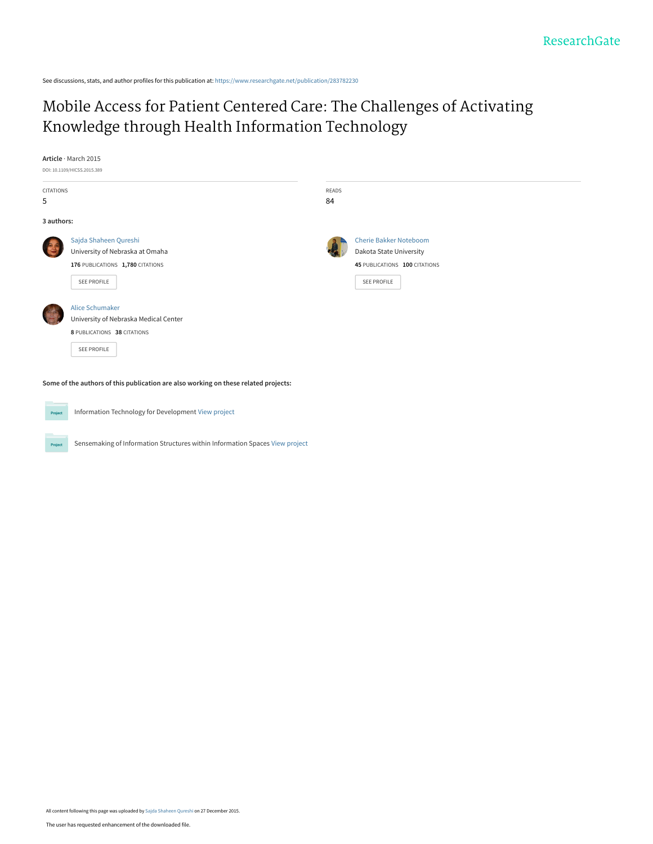See discussions, stats, and author profiles for this publication at: [https://www.researchgate.net/publication/283782230](https://www.researchgate.net/publication/283782230_Mobile_Access_for_Patient_Centered_Care_The_Challenges_of_Activating_Knowledge_through_Health_Information_Technology?enrichId=rgreq-ed8604222ec92adbe2a553336bf64e11-XXX&enrichSource=Y292ZXJQYWdlOzI4Mzc4MjIzMDtBUzozMTEzNTUzNDM2MDU3NjBAMTQ1MTI0NDMwNjIxNQ%3D%3D&el=1_x_2&_esc=publicationCoverPdf)

## [Mobile Access for Patient Centered Care: The Challenges of Activating](https://www.researchgate.net/publication/283782230_Mobile_Access_for_Patient_Centered_Care_The_Challenges_of_Activating_Knowledge_through_Health_Information_Technology?enrichId=rgreq-ed8604222ec92adbe2a553336bf64e11-XXX&enrichSource=Y292ZXJQYWdlOzI4Mzc4MjIzMDtBUzozMTEzNTUzNDM2MDU3NjBAMTQ1MTI0NDMwNjIxNQ%3D%3D&el=1_x_3&_esc=publicationCoverPdf) Knowledge through Health Information Technology

**Article** · March 2015 DOI: 10.1109/HICSS.2015.389

| CITATIONS  |                                       | READS |                               |
|------------|---------------------------------------|-------|-------------------------------|
| 5          |                                       | 84    |                               |
| 3 authors: |                                       |       |                               |
|            | Sajda Shaheen Qureshi                 |       | <b>Cherie Bakker Noteboom</b> |
|            | University of Nebraska at Omaha       |       | Dakota State University       |
|            | 176 PUBLICATIONS 1,780 CITATIONS      |       | 45 PUBLICATIONS 100 CITATIONS |
|            | SEE PROFILE                           |       | SEE PROFILE                   |
|            | <b>Alice Schumaker</b>                |       |                               |
|            | University of Nebraska Medical Center |       |                               |
|            | 8 PUBLICATIONS 38 CITATIONS           |       |                               |
|            | SEE PROFILE                           |       |                               |
|            |                                       |       |                               |

**Some of the authors of this publication are also working on these related projects:**

Project

Project

Information Technology for Development [View project](https://www.researchgate.net/project/Information-Technology-for-Development-2?enrichId=rgreq-ed8604222ec92adbe2a553336bf64e11-XXX&enrichSource=Y292ZXJQYWdlOzI4Mzc4MjIzMDtBUzozMTEzNTUzNDM2MDU3NjBAMTQ1MTI0NDMwNjIxNQ%3D%3D&el=1_x_9&_esc=publicationCoverPdf)

Sensemaking of Information Structures within Information Spaces [View project](https://www.researchgate.net/project/Sensemaking-of-Information-Structures-within-Information-Spaces?enrichId=rgreq-ed8604222ec92adbe2a553336bf64e11-XXX&enrichSource=Y292ZXJQYWdlOzI4Mzc4MjIzMDtBUzozMTEzNTUzNDM2MDU3NjBAMTQ1MTI0NDMwNjIxNQ%3D%3D&el=1_x_9&_esc=publicationCoverPdf)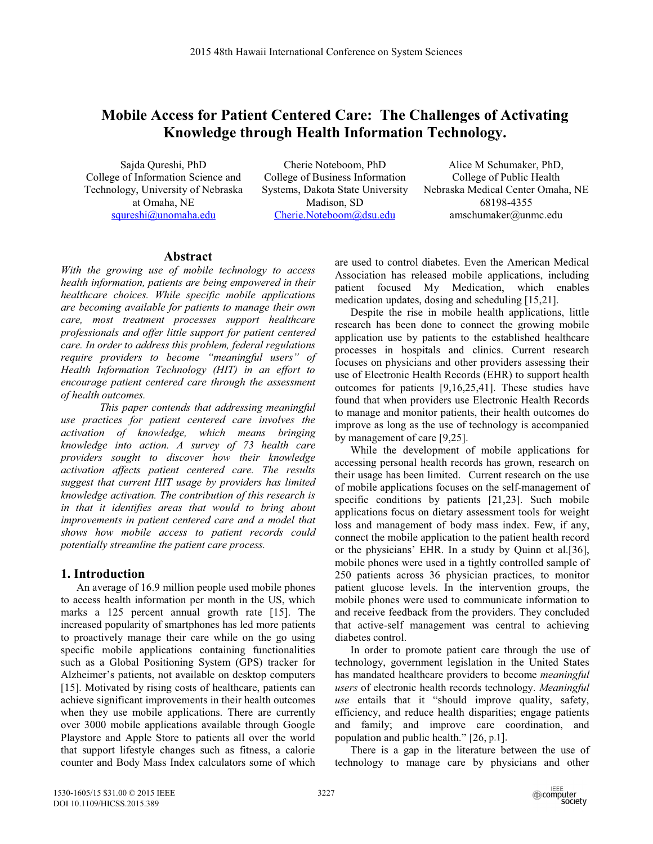### **Mobile Access for Patient Centered Care: The Challenges of Activating Knowledge through Health Information Technology.**

Sajda Qureshi, PhD College of Information Science and Technology, University of Nebraska at Omaha, NE squreshi@unomaha.edu

Cherie Noteboom, PhD College of Business Information Systems, Dakota State University Madison, SD Cherie.Noteboom@dsu.edu

Alice M Schumaker, PhD, College of Public Health Nebraska Medical Center Omaha, NE 68198-4355 amschumaker@unmc.edu

#### **Abstract**

*With the growing use of mobile technology to access health information, patients are being empowered in their healthcare choices. While specific mobile applications are becoming available for patients to manage their own care, most treatment processes support healthcare professionals and offer little support for patient centered care. In order to address this problem, federal regulations require providers to become "meaningful users" of Health Information Technology (HIT) in an effort to encourage patient centered care through the assessment of health outcomes.*

*This paper contends that addressing meaningful use practices for patient centered care involves the activation of knowledge, which means bringing knowledge into action. A survey of 73 health care providers sought to discover how their knowledge activation affects patient centered care. The results suggest that current HIT usage by providers has limited knowledge activation. The contribution of this research is in that it identifies areas that would to bring about improvements in patient centered care and a model that shows how mobile access to patient records could potentially streamline the patient care process.*

#### **1. Introduction**

An average of 16.9 million people used mobile phones to access health information per month in the US, which marks a 125 percent annual growth rate [15]. The increased popularity of smartphones has led more patients to proactively manage their care while on the go using specific mobile applications containing functionalities such as a Global Positioning System (GPS) tracker for Alzheimer's patients, not available on desktop computers [15]. Motivated by rising costs of healthcare, patients can achieve significant improvements in their health outcomes when they use mobile applications. There are currently over 3000 mobile applications available through Google Playstore and Apple Store to patients all over the world that support lifestyle changes such as fitness, a calorie counter and Body Mass Index calculators some of which are used to control diabetes. Even the American Medical Association has released mobile applications, including patient focused My Medication, which enables medication updates, dosing and scheduling [15,21].

Despite the rise in mobile health applications, little research has been done to connect the growing mobile application use by patients to the established healthcare processes in hospitals and clinics. Current research focuses on physicians and other providers assessing their use of Electronic Health Records (EHR) to support health outcomes for patients [9,16,25,41]. These studies have found that when providers use Electronic Health Records to manage and monitor patients, their health outcomes do improve as long as the use of technology is accompanied by management of care [9,25].

While the development of mobile applications for accessing personal health records has grown, research on their usage has been limited. Current research on the use of mobile applications focuses on the self-management of specific conditions by patients [21,23]. Such mobile applications focus on dietary assessment tools for weight loss and management of body mass index. Few, if any, connect the mobile application to the patient health record or the physicians' EHR. In a study by Quinn et al.[36], mobile phones were used in a tightly controlled sample of 250 patients across 36 physician practices, to monitor patient glucose levels. In the intervention groups, the mobile phones were used to communicate information to and receive feedback from the providers. They concluded that active-self management was central to achieving diabetes control.

In order to promote patient care through the use of technology, government legislation in the United States has mandated healthcare providers to become *meaningful users* of electronic health records technology. *Meaningful use* entails that it "should improve quality, safety, efficiency, and reduce health disparities; engage patients and family; and improve care coordination, and population and public health." [26, p.1].

There is a gap in the literature between the use of technology to manage care by physicians and other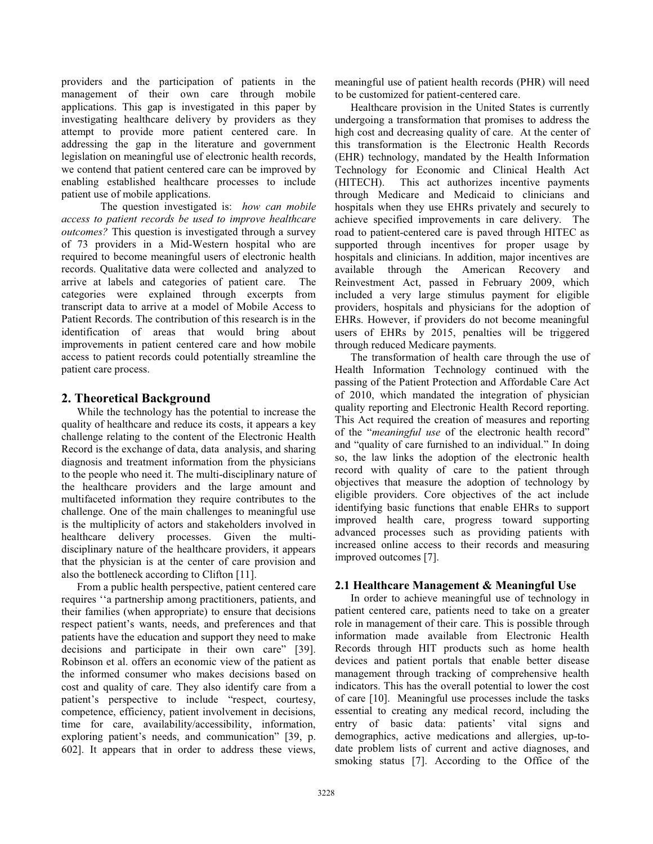providers and the participation of patients in the management of their own care through mobile applications. This gap is investigated in this paper by investigating healthcare delivery by providers as they attempt to provide more patient centered care. In addressing the gap in the literature and government legislation on meaningful use of electronic health records, we contend that patient centered care can be improved by enabling established healthcare processes to include patient use of mobile applications.

The question investigated is: *how can mobile access to patient records be used to improve healthcare outcomes?* This question is investigated through a survey of 73 providers in a Mid-Western hospital who are required to become meaningful users of electronic health records. Qualitative data were collected and analyzed to arrive at labels and categories of patient care. The categories were explained through excerpts from transcript data to arrive at a model of Mobile Access to Patient Records. The contribution of this research is in the identification of areas that would bring about improvements in patient centered care and how mobile access to patient records could potentially streamline the patient care process.

#### **2. Theoretical Background**

While the technology has the potential to increase the quality of healthcare and reduce its costs, it appears a key challenge relating to the content of the Electronic Health Record is the exchange of data, data analysis, and sharing diagnosis and treatment information from the physicians to the people who need it. The multi-disciplinary nature of the healthcare providers and the large amount and multifaceted information they require contributes to the challenge. One of the main challenges to meaningful use is the multiplicity of actors and stakeholders involved in healthcare delivery processes. Given the multidisciplinary nature of the healthcare providers, it appears that the physician is at the center of care provision and also the bottleneck according to Clifton [11].

From a public health perspective, patient centered care requires ''a partnership among practitioners, patients, and their families (when appropriate) to ensure that decisions respect patient's wants, needs, and preferences and that patients have the education and support they need to make decisions and participate in their own care" [39]. Robinson et al. offers an economic view of the patient as the informed consumer who makes decisions based on cost and quality of care. They also identify care from a patient's perspective to include "respect, courtesy, competence, efficiency, patient involvement in decisions, time for care, availability/accessibility, information, exploring patient's needs, and communication" [39, p. 602]. It appears that in order to address these views, meaningful use of patient health records (PHR) will need to be customized for patient-centered care.

Healthcare provision in the United States is currently undergoing a transformation that promises to address the high cost and decreasing quality of care. At the center of this transformation is the Electronic Health Records (EHR) technology, mandated by the Health Information Technology for Economic and Clinical Health Act (HITECH). This act authorizes incentive payments through Medicare and Medicaid to clinicians and hospitals when they use EHRs privately and securely to achieve specified improvements in care delivery. The road to patient-centered care is paved through HITEC as supported through incentives for proper usage by hospitals and clinicians. In addition, major incentives are available through the American Recovery and Reinvestment Act, passed in February 2009, which included a very large stimulus payment for eligible providers, hospitals and physicians for the adoption of EHRs. However, if providers do not become meaningful users of EHRs by 2015, penalties will be triggered through reduced Medicare payments.

The transformation of health care through the use of Health Information Technology continued with the passing of the Patient Protection and Affordable Care Act of 2010, which mandated the integration of physician quality reporting and Electronic Health Record reporting. This Act required the creation of measures and reporting of the "*meaningful use* of the electronic health record" and "quality of care furnished to an individual." In doing so, the law links the adoption of the electronic health record with quality of care to the patient through objectives that measure the adoption of technology by eligible providers. Core objectives of the act include identifying basic functions that enable EHRs to support improved health care, progress toward supporting advanced processes such as providing patients with increased online access to their records and measuring improved outcomes [7].

#### **2.1 Healthcare Management & Meaningful Use**

In order to achieve meaningful use of technology in patient centered care, patients need to take on a greater role in management of their care. This is possible through information made available from Electronic Health Records through HIT products such as home health devices and patient portals that enable better disease management through tracking of comprehensive health indicators. This has the overall potential to lower the cost of care [10]. Meaningful use processes include the tasks essential to creating any medical record, including the entry of basic data: patients' vital signs and demographics, active medications and allergies, up-todate problem lists of current and active diagnoses, and smoking status [7]. According to the Office of the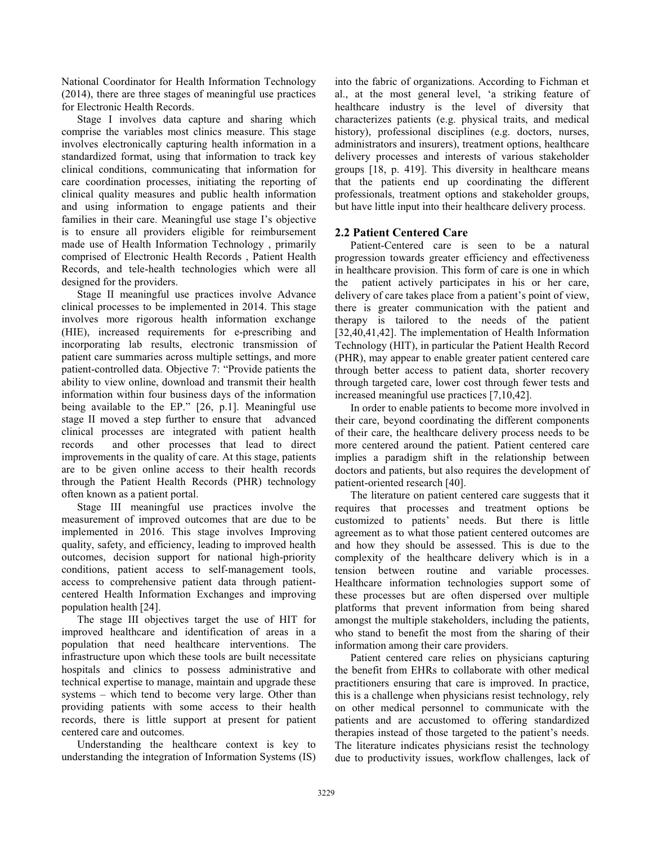National Coordinator for Health Information Technology (2014), there are three stages of meaningful use practices for Electronic Health Records.

Stage I involves data capture and sharing which comprise the variables most clinics measure. This stage involves electronically capturing health information in a standardized format, using that information to track key clinical conditions, communicating that information for care coordination processes, initiating the reporting of clinical quality measures and public health information and using information to engage patients and their families in their care. Meaningful use stage I's objective is to ensure all providers eligible for reimbursement made use of Health Information Technology , primarily comprised of Electronic Health Records , Patient Health Records, and tele-health technologies which were all designed for the providers.

Stage II meaningful use practices involve Advance clinical processes to be implemented in 2014. This stage involves more rigorous health information exchange (HIE), increased requirements for e-prescribing and incorporating lab results, electronic transmission of patient care summaries across multiple settings, and more patient-controlled data. Objective 7: "Provide patients the ability to view online, download and transmit their health information within four business days of the information being available to the EP." [26, p.1]. Meaningful use stage II moved a step further to ensure that advanced clinical processes are integrated with patient health records and other processes that lead to direct improvements in the quality of care. At this stage, patients are to be given online access to their health records through the Patient Health Records (PHR) technology often known as a patient portal.

Stage III meaningful use practices involve the measurement of improved outcomes that are due to be implemented in 2016. This stage involves Improving quality, safety, and efficiency, leading to improved health outcomes, decision support for national high-priority conditions, patient access to self-management tools, access to comprehensive patient data through patientcentered Health Information Exchanges and improving population health [24].

The stage III objectives target the use of HIT for improved healthcare and identification of areas in a population that need healthcare interventions. The infrastructure upon which these tools are built necessitate hospitals and clinics to possess administrative and technical expertise to manage, maintain and upgrade these systems – which tend to become very large. Other than providing patients with some access to their health records, there is little support at present for patient centered care and outcomes.

Understanding the healthcare context is key to understanding the integration of Information Systems (IS) into the fabric of organizations. According to Fichman et al., at the most general level, 'a striking feature of healthcare industry is the level of diversity that characterizes patients (e.g. physical traits, and medical history), professional disciplines (e.g. doctors, nurses, administrators and insurers), treatment options, healthcare delivery processes and interests of various stakeholder groups [18, p. 419]. This diversity in healthcare means that the patients end up coordinating the different professionals, treatment options and stakeholder groups, but have little input into their healthcare delivery process.

#### **2.2 Patient Centered Care**

Patient-Centered care is seen to be a natural progression towards greater efficiency and effectiveness in healthcare provision. This form of care is one in which the patient actively participates in his or her care, delivery of care takes place from a patient's point of view, there is greater communication with the patient and therapy is tailored to the needs of the patient [32,40,41,42]. The implementation of Health Information Technology (HIT), in particular the Patient Health Record (PHR), may appear to enable greater patient centered care through better access to patient data, shorter recovery through targeted care, lower cost through fewer tests and increased meaningful use practices [7,10,42].

In order to enable patients to become more involved in their care, beyond coordinating the different components of their care, the healthcare delivery process needs to be more centered around the patient. Patient centered care implies a paradigm shift in the relationship between doctors and patients, but also requires the development of patient-oriented research [40].

The literature on patient centered care suggests that it requires that processes and treatment options be customized to patients' needs. But there is little agreement as to what those patient centered outcomes are and how they should be assessed. This is due to the complexity of the healthcare delivery which is in a tension between routine and variable processes. Healthcare information technologies support some of these processes but are often dispersed over multiple platforms that prevent information from being shared amongst the multiple stakeholders, including the patients, who stand to benefit the most from the sharing of their information among their care providers.

Patient centered care relies on physicians capturing the benefit from EHRs to collaborate with other medical practitioners ensuring that care is improved. In practice, this is a challenge when physicians resist technology, rely on other medical personnel to communicate with the patients and are accustomed to offering standardized therapies instead of those targeted to the patient's needs. The literature indicates physicians resist the technology due to productivity issues, workflow challenges, lack of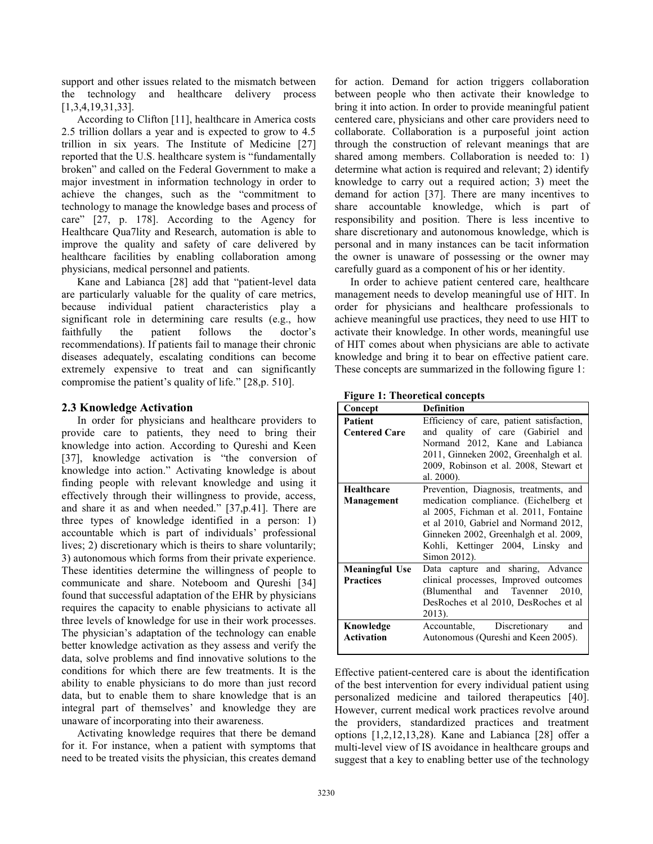support and other issues related to the mismatch between the technology and healthcare delivery process [1,3,4,19,31,33].

According to Clifton [11], healthcare in America costs 2.5 trillion dollars a year and is expected to grow to 4.5 trillion in six years. The Institute of Medicine [27] reported that the U.S. healthcare system is "fundamentally broken" and called on the Federal Government to make a major investment in information technology in order to achieve the changes, such as the "commitment to technology to manage the knowledge bases and process of care" [27, p. 178]. According to the Agency for Healthcare Qua7lity and Research, automation is able to improve the quality and safety of care delivered by healthcare facilities by enabling collaboration among physicians, medical personnel and patients.

Kane and Labianca [28] add that "patient-level data are particularly valuable for the quality of care metrics, because individual patient characteristics play a significant role in determining care results (e.g., how faithfully the patient follows the doctor's recommendations). If patients fail to manage their chronic diseases adequately, escalating conditions can become extremely expensive to treat and can significantly compromise the patient's quality of life." [28,p. 510].

#### **2.3 Knowledge Activation**

In order for physicians and healthcare providers to provide care to patients, they need to bring their knowledge into action. According to Qureshi and Keen [37], knowledge activation is "the conversion of knowledge into action." Activating knowledge is about finding people with relevant knowledge and using it effectively through their willingness to provide, access, and share it as and when needed." [37,p.41]. There are three types of knowledge identified in a person: 1) accountable which is part of individuals' professional lives; 2) discretionary which is theirs to share voluntarily; 3) autonomous which forms from their private experience. These identities determine the willingness of people to communicate and share. Noteboom and Qureshi [34] found that successful adaptation of the EHR by physicians requires the capacity to enable physicians to activate all three levels of knowledge for use in their work processes. The physician's adaptation of the technology can enable better knowledge activation as they assess and verify the data, solve problems and find innovative solutions to the conditions for which there are few treatments. It is the ability to enable physicians to do more than just record data, but to enable them to share knowledge that is an integral part of themselves' and knowledge they are unaware of incorporating into their awareness.

Activating knowledge requires that there be demand for it. For instance, when a patient with symptoms that need to be treated visits the physician, this creates demand for action. Demand for action triggers collaboration between people who then activate their knowledge to bring it into action. In order to provide meaningful patient centered care, physicians and other care providers need to collaborate. Collaboration is a purposeful joint action through the construction of relevant meanings that are shared among members. Collaboration is needed to: 1) determine what action is required and relevant; 2) identify knowledge to carry out a required action; 3) meet the demand for action [37]. There are many incentives to share accountable knowledge, which is part of responsibility and position. There is less incentive to share discretionary and autonomous knowledge, which is personal and in many instances can be tacit information the owner is unaware of possessing or the owner may carefully guard as a component of his or her identity.

In order to achieve patient centered care, healthcare management needs to develop meaningful use of HIT. In order for physicians and healthcare professionals to achieve meaningful use practices, they need to use HIT to activate their knowledge. In other words, meaningful use of HIT comes about when physicians are able to activate knowledge and bring it to bear on effective patient care. These concepts are summarized in the following figure 1:

**Figure 1: Theoretical concepts** 

| Concept                                   | <b>Definition</b>                                                                                                                                                                                                                                                 |
|-------------------------------------------|-------------------------------------------------------------------------------------------------------------------------------------------------------------------------------------------------------------------------------------------------------------------|
| Patient<br><b>Centered Care</b>           | Efficiency of care, patient satisfaction,<br>and quality of care (Gabiriel and<br>Normand 2012, Kane and Labianca<br>2011, Ginneken 2002, Greenhalgh et al.<br>2009, Robinson et al. 2008, Stewart et<br>al. 2000).                                               |
| Healthcare<br>Management                  | Prevention, Diagnosis, treatments, and<br>medication compliance. (Eichelberg et<br>al 2005, Fichman et al. 2011, Fontaine<br>et al 2010, Gabriel and Normand 2012,<br>Ginneken 2002, Greenhalgh et al. 2009,<br>Kohli, Kettinger 2004, Linsky and<br>Simon 2012). |
| <b>Meaningful Use</b><br><b>Practices</b> | Data capture and sharing, Advance<br>clinical processes, Improved outcomes<br>(Blumenthal and Tavenner 2010,<br>DesRoches et al 2010, DesRoches et al<br>2013).                                                                                                   |
| Knowledge<br><b>Activation</b>            | Accountable, Discretionary<br>and<br>Autonomous (Qureshi and Keen 2005).                                                                                                                                                                                          |

Effective patient-centered care is about the identification of the best intervention for every individual patient using personalized medicine and tailored therapeutics [40]. However, current medical work practices revolve around the providers, standardized practices and treatment options [1,2,12,13,28). Kane and Labianca [28] offer a multi-level view of IS avoidance in healthcare groups and suggest that a key to enabling better use of the technology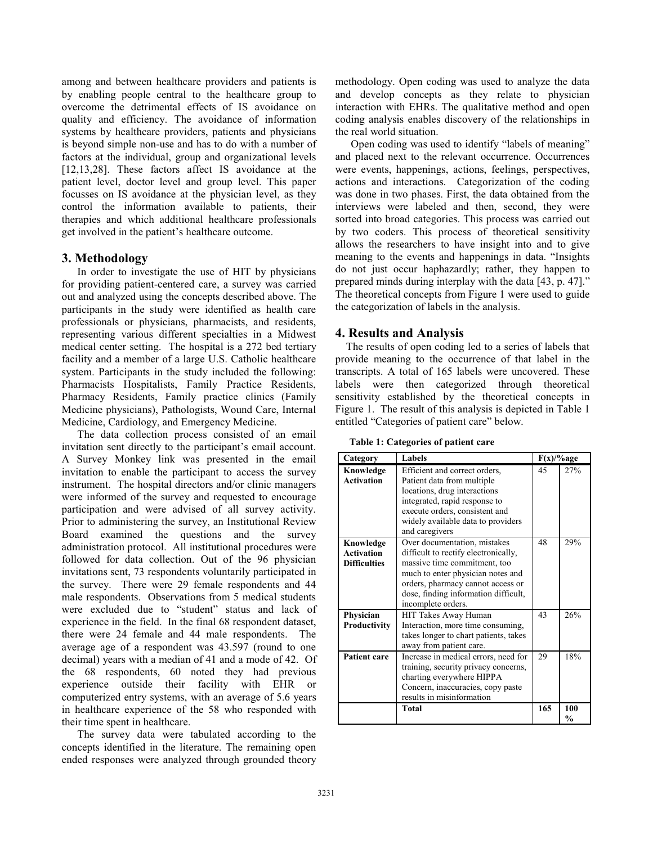among and between healthcare providers and patients is by enabling people central to the healthcare group to overcome the detrimental effects of IS avoidance on quality and efficiency. The avoidance of information systems by healthcare providers, patients and physicians is beyond simple non-use and has to do with a number of factors at the individual, group and organizational levels [12,13,28]. These factors affect IS avoidance at the patient level, doctor level and group level. This paper focusses on IS avoidance at the physician level, as they control the information available to patients, their therapies and which additional healthcare professionals get involved in the patient's healthcare outcome.

#### **3. Methodology**

In order to investigate the use of HIT by physicians for providing patient-centered care, a survey was carried out and analyzed using the concepts described above. The participants in the study were identified as health care professionals or physicians, pharmacists, and residents, representing various different specialties in a Midwest medical center setting. The hospital is a 272 bed tertiary facility and a member of a large U.S. Catholic healthcare system. Participants in the study included the following: Pharmacists Hospitalists, Family Practice Residents, Pharmacy Residents, Family practice clinics (Family Medicine physicians), Pathologists, Wound Care, Internal Medicine, Cardiology, and Emergency Medicine.

The data collection process consisted of an email invitation sent directly to the participant's email account. A Survey Monkey link was presented in the email invitation to enable the participant to access the survey instrument. The hospital directors and/or clinic managers were informed of the survey and requested to encourage participation and were advised of all survey activity. Prior to administering the survey, an Institutional Review Board examined the questions and the survey administration protocol. All institutional procedures were followed for data collection. Out of the 96 physician invitations sent, 73 respondents voluntarily participated in the survey. There were 29 female respondents and 44 male respondents. Observations from 5 medical students were excluded due to "student" status and lack of experience in the field. In the final 68 respondent dataset, there were 24 female and 44 male respondents. The average age of a respondent was 43.597 (round to one decimal) years with a median of 41 and a mode of 42. Of the 68 respondents, 60 noted they had previous experience outside their facility with EHR or computerized entry systems, with an average of 5.6 years in healthcare experience of the 58 who responded with their time spent in healthcare.

The survey data were tabulated according to the concepts identified in the literature. The remaining open ended responses were analyzed through grounded theory methodology. Open coding was used to analyze the data and develop concepts as they relate to physician interaction with EHRs. The qualitative method and open coding analysis enables discovery of the relationships in the real world situation.

Open coding was used to identify "labels of meaning" and placed next to the relevant occurrence. Occurrences were events, happenings, actions, feelings, perspectives, actions and interactions. Categorization of the coding was done in two phases. First, the data obtained from the interviews were labeled and then, second, they were sorted into broad categories. This process was carried out by two coders. This process of theoretical sensitivity allows the researchers to have insight into and to give meaning to the events and happenings in data. "Insights do not just occur haphazardly; rather, they happen to prepared minds during interplay with the data [43, p. 47]." The theoretical concepts from Figure 1 were used to guide the categorization of labels in the analysis.

#### **4. Results and Analysis**

The results of open coding led to a series of labels that provide meaning to the occurrence of that label in the transcripts. A total of 165 labels were uncovered. These labels were then categorized through theoretical sensitivity established by the theoretical concepts in Figure 1. The result of this analysis is depicted in Table 1 entitled "Categories of patient care" below.

**Table 1: Categories of patient care**

| Category                                              | Labels                                                                                                                                                                                                                                       | $F(x)/\%$ age |            |
|-------------------------------------------------------|----------------------------------------------------------------------------------------------------------------------------------------------------------------------------------------------------------------------------------------------|---------------|------------|
| Knowledge<br><b>Activation</b>                        | Efficient and correct orders,<br>Patient data from multiple<br>locations, drug interactions<br>integrated, rapid response to<br>execute orders, consistent and<br>widely available data to providers<br>and caregivers                       | 45            | 27%        |
| Knowledge<br><b>Activation</b><br><b>Difficulties</b> | Over documentation, mistakes<br>difficult to rectify electronically,<br>massive time commitment, too<br>much to enter physician notes and<br>orders, pharmacy cannot access or<br>dose, finding information difficult,<br>incomplete orders. | 48            | 29%        |
| Physician<br>Productivity                             | HIT Takes Away Human<br>Interaction, more time consuming,<br>takes longer to chart patients, takes<br>away from patient care.                                                                                                                | 43            | 26%        |
| <b>Patient care</b>                                   | Increase in medical errors, need for<br>training, security privacy concerns,<br>charting everywhere HIPPA<br>Concern, inaccuracies, copy paste<br>results in misinformation<br>Total                                                         | 29<br>165     | 18%<br>100 |
|                                                       |                                                                                                                                                                                                                                              |               | %          |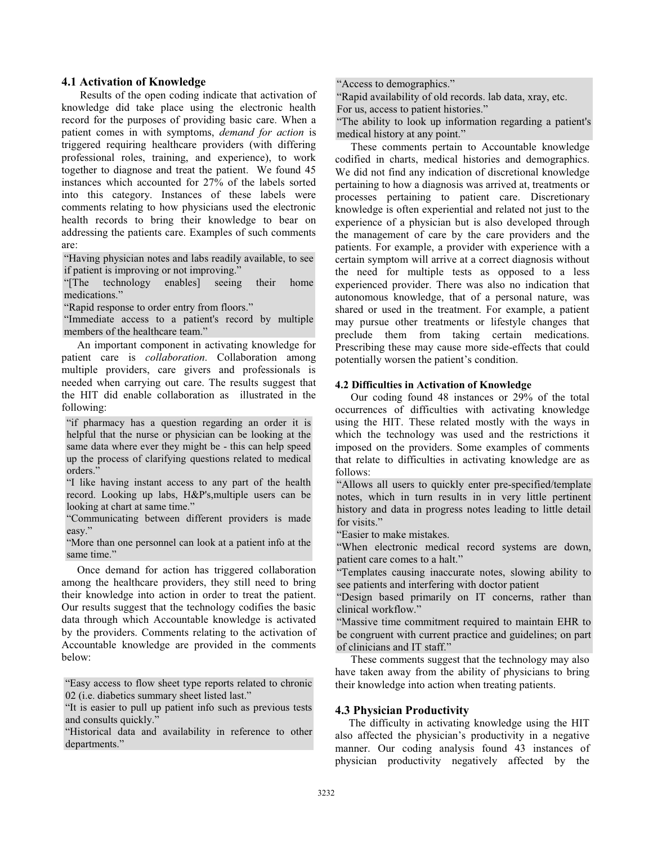#### **4.1 Activation of Knowledge**

 Results of the open coding indicate that activation of knowledge did take place using the electronic health record for the purposes of providing basic care. When a patient comes in with symptoms, *demand for action* is triggered requiring healthcare providers (with differing professional roles, training, and experience), to work together to diagnose and treat the patient. We found 45 instances which accounted for 27% of the labels sorted into this category. Instances of these labels were comments relating to how physicians used the electronic health records to bring their knowledge to bear on addressing the patients care. Examples of such comments are:

"Having physician notes and labs readily available, to see if patient is improving or not improving."

"[The technology enables] seeing their home medications."

"Rapid response to order entry from floors."

"Immediate access to a patient's record by multiple members of the healthcare team."

An important component in activating knowledge for patient care is *collaboration*. Collaboration among multiple providers, care givers and professionals is needed when carrying out care. The results suggest that the HIT did enable collaboration as illustrated in the following:

"if pharmacy has a question regarding an order it is helpful that the nurse or physician can be looking at the same data where ever they might be - this can help speed up the process of clarifying questions related to medical orders."

"I like having instant access to any part of the health record. Looking up labs, H&P's,multiple users can be looking at chart at same time."

"Communicating between different providers is made easy."

"More than one personnel can look at a patient info at the same time."

Once demand for action has triggered collaboration among the healthcare providers, they still need to bring their knowledge into action in order to treat the patient. Our results suggest that the technology codifies the basic data through which Accountable knowledge is activated by the providers. Comments relating to the activation of Accountable knowledge are provided in the comments below:

"Easy access to flow sheet type reports related to chronic 02 (i.e. diabetics summary sheet listed last."

"It is easier to pull up patient info such as previous tests and consults quickly."

"Historical data and availability in reference to other departments."

#### "Access to demographics."

"Rapid availability of old records. lab data, xray, etc.

For us, access to patient histories."

"The ability to look up information regarding a patient's medical history at any point."

These comments pertain to Accountable knowledge codified in charts, medical histories and demographics. We did not find any indication of discretional knowledge pertaining to how a diagnosis was arrived at, treatments or processes pertaining to patient care. Discretionary knowledge is often experiential and related not just to the experience of a physician but is also developed through the management of care by the care providers and the patients. For example, a provider with experience with a certain symptom will arrive at a correct diagnosis without the need for multiple tests as opposed to a less experienced provider. There was also no indication that autonomous knowledge, that of a personal nature, was shared or used in the treatment. For example, a patient may pursue other treatments or lifestyle changes that preclude them from taking certain medications. Prescribing these may cause more side-effects that could potentially worsen the patient's condition.

#### **4.2 Difficulties in Activation of Knowledge**

Our coding found 48 instances or 29% of the total occurrences of difficulties with activating knowledge using the HIT. These related mostly with the ways in which the technology was used and the restrictions it imposed on the providers. Some examples of comments that relate to difficulties in activating knowledge are as follows:

"Allows all users to quickly enter pre-specified/template notes, which in turn results in in very little pertinent history and data in progress notes leading to little detail for visits."

"Easier to make mistakes.

"When electronic medical record systems are down, patient care comes to a halt."

"Templates causing inaccurate notes, slowing ability to see patients and interfering with doctor patient

"Design based primarily on IT concerns, rather than clinical workflow."

"Massive time commitment required to maintain EHR to be congruent with current practice and guidelines; on part of clinicians and IT staff."

These comments suggest that the technology may also have taken away from the ability of physicians to bring their knowledge into action when treating patients.

#### **4.3 Physician Productivity**

The difficulty in activating knowledge using the HIT also affected the physician's productivity in a negative manner. Our coding analysis found 43 instances of physician productivity negatively affected by the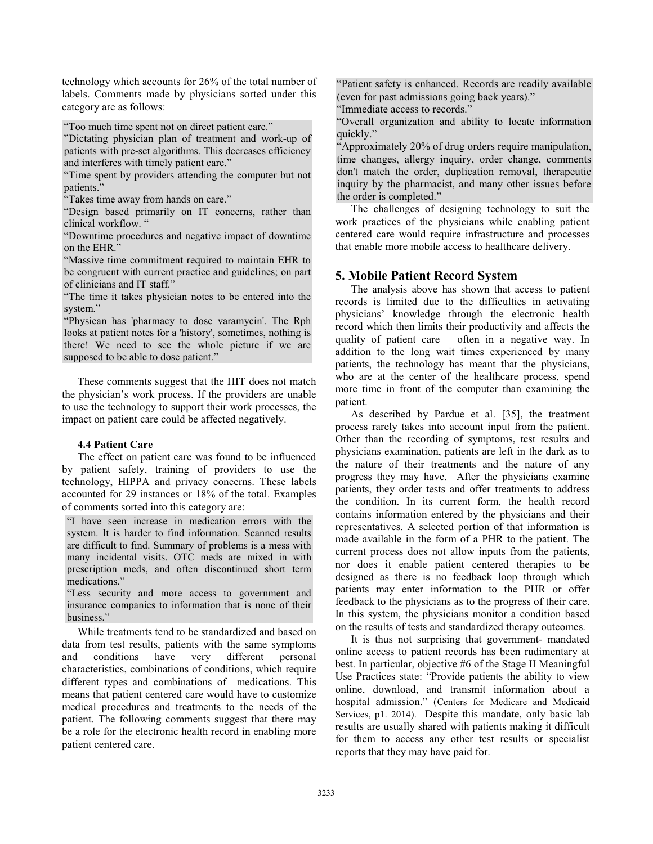technology which accounts for 26% of the total number of labels. Comments made by physicians sorted under this category are as follows:

"Too much time spent not on direct patient care."

"Dictating physician plan of treatment and work-up of patients with pre-set algorithms. This decreases efficiency and interferes with timely patient care."

"Time spent by providers attending the computer but not patients."

"Takes time away from hands on care."

"Design based primarily on IT concerns, rather than clinical workflow. "

"Downtime procedures and negative impact of downtime on the EHR."

"Massive time commitment required to maintain EHR to be congruent with current practice and guidelines; on part of clinicians and IT staff."

"The time it takes physician notes to be entered into the system."

"Physican has 'pharmacy to dose varamycin'. The Rph looks at patient notes for a 'history', sometimes, nothing is there! We need to see the whole picture if we are supposed to be able to dose patient."

These comments suggest that the HIT does not match the physician's work process. If the providers are unable to use the technology to support their work processes, the impact on patient care could be affected negatively.

#### **4.4 Patient Care**

The effect on patient care was found to be influenced by patient safety, training of providers to use the technology, HIPPA and privacy concerns. These labels accounted for 29 instances or 18% of the total. Examples of comments sorted into this category are:

"I have seen increase in medication errors with the system. It is harder to find information. Scanned results are difficult to find. Summary of problems is a mess with many incidental visits. OTC meds are mixed in with prescription meds, and often discontinued short term medications."

"Less security and more access to government and insurance companies to information that is none of their business."

While treatments tend to be standardized and based on data from test results, patients with the same symptoms and conditions have very different personal characteristics, combinations of conditions, which require different types and combinations of medications. This means that patient centered care would have to customize medical procedures and treatments to the needs of the patient. The following comments suggest that there may be a role for the electronic health record in enabling more patient centered care.

"Patient safety is enhanced. Records are readily available (even for past admissions going back years)."

"Immediate access to records."

"Overall organization and ability to locate information quickly."

"Approximately 20% of drug orders require manipulation, time changes, allergy inquiry, order change, comments don't match the order, duplication removal, therapeutic inquiry by the pharmacist, and many other issues before the order is completed."

The challenges of designing technology to suit the work practices of the physicians while enabling patient centered care would require infrastructure and processes that enable more mobile access to healthcare delivery.

### **5. Mobile Patient Record System**

The analysis above has shown that access to patient records is limited due to the difficulties in activating physicians' knowledge through the electronic health record which then limits their productivity and affects the quality of patient care – often in a negative way. In addition to the long wait times experienced by many patients, the technology has meant that the physicians, who are at the center of the healthcare process, spend more time in front of the computer than examining the patient.

As described by Pardue et al. [35], the treatment process rarely takes into account input from the patient. Other than the recording of symptoms, test results and physicians examination, patients are left in the dark as to the nature of their treatments and the nature of any progress they may have. After the physicians examine patients, they order tests and offer treatments to address the condition. In its current form, the health record contains information entered by the physicians and their representatives. A selected portion of that information is made available in the form of a PHR to the patient. The current process does not allow inputs from the patients, nor does it enable patient centered therapies to be designed as there is no feedback loop through which patients may enter information to the PHR or offer feedback to the physicians as to the progress of their care. In this system, the physicians monitor a condition based on the results of tests and standardized therapy outcomes.

It is thus not surprising that government- mandated online access to patient records has been rudimentary at best. In particular, objective #6 of the Stage II Meaningful Use Practices state: "Provide patients the ability to view online, download, and transmit information about a hospital admission." (Centers for Medicare and Medicaid Services, p1. 2014). Despite this mandate, only basic lab results are usually shared with patients making it difficult for them to access any other test results or specialist reports that they may have paid for.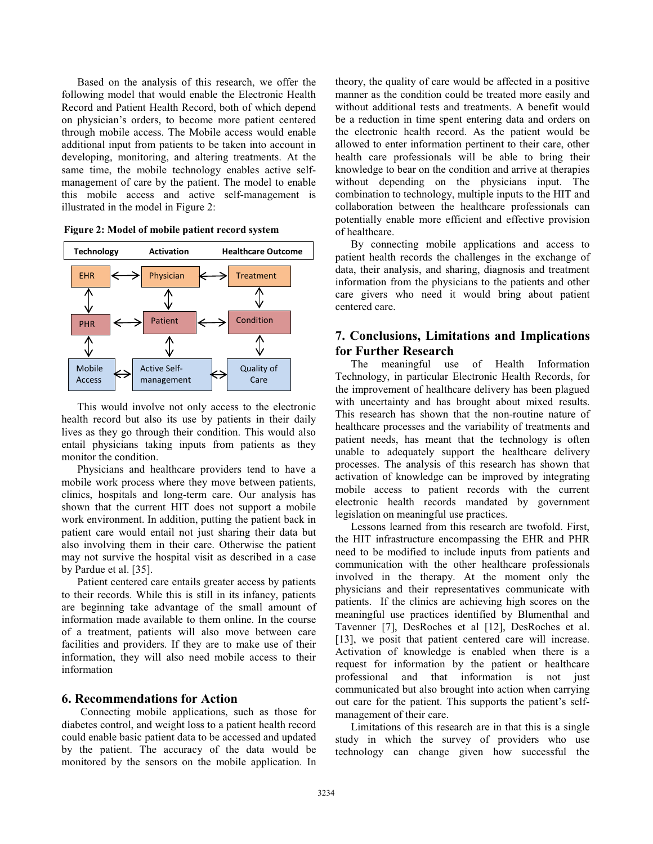Based on the analysis of this research, we offer the following model that would enable the Electronic Health Record and Patient Health Record, both of which depend on physician's orders, to become more patient centered through mobile access. The Mobile access would enable additional input from patients to be taken into account in developing, monitoring, and altering treatments. At the same time, the mobile technology enables active selfmanagement of care by the patient. The model to enable this mobile access and active self-management is illustrated in the model in Figure 2:

**Figure 2: Model of mobile patient record system**



This would involve not only access to the electronic health record but also its use by patients in their daily lives as they go through their condition. This would also entail physicians taking inputs from patients as they monitor the condition.

Physicians and healthcare providers tend to have a mobile work process where they move between patients, clinics, hospitals and long-term care. Our analysis has shown that the current HIT does not support a mobile work environment. In addition, putting the patient back in patient care would entail not just sharing their data but also involving them in their care. Otherwise the patient may not survive the hospital visit as described in a case by Pardue et al. [35].

Patient centered care entails greater access by patients to their records. While this is still in its infancy, patients are beginning take advantage of the small amount of information made available to them online. In the course of a treatment, patients will also move between care facilities and providers. If they are to make use of their information, they will also need mobile access to their information

#### **6. Recommendations for Action**

Connecting mobile applications, such as those for diabetes control, and weight loss to a patient health record could enable basic patient data to be accessed and updated by the patient. The accuracy of the data would be monitored by the sensors on the mobile application. In theory, the quality of care would be affected in a positive manner as the condition could be treated more easily and without additional tests and treatments. A benefit would be a reduction in time spent entering data and orders on the electronic health record. As the patient would be allowed to enter information pertinent to their care, other health care professionals will be able to bring their knowledge to bear on the condition and arrive at therapies without depending on the physicians input. The combination to technology, multiple inputs to the HIT and collaboration between the healthcare professionals can potentially enable more efficient and effective provision of healthcare.

By connecting mobile applications and access to patient health records the challenges in the exchange of data, their analysis, and sharing, diagnosis and treatment information from the physicians to the patients and other care givers who need it would bring about patient centered care.

#### **7. Conclusions, Limitations and Implications for Further Research**

The meaningful use of Health Information Technology, in particular Electronic Health Records, for the improvement of healthcare delivery has been plagued with uncertainty and has brought about mixed results. This research has shown that the non-routine nature of healthcare processes and the variability of treatments and patient needs, has meant that the technology is often unable to adequately support the healthcare delivery processes. The analysis of this research has shown that activation of knowledge can be improved by integrating mobile access to patient records with the current electronic health records mandated by government legislation on meaningful use practices.

Lessons learned from this research are twofold. First, the HIT infrastructure encompassing the EHR and PHR need to be modified to include inputs from patients and communication with the other healthcare professionals involved in the therapy. At the moment only the physicians and their representatives communicate with patients. If the clinics are achieving high scores on the meaningful use practices identified by Blumenthal and Tavenner [7], DesRoches et al [12], DesRoches et al. [13], we posit that patient centered care will increase. Activation of knowledge is enabled when there is a request for information by the patient or healthcare professional and that information is not just communicated but also brought into action when carrying out care for the patient. This supports the patient's selfmanagement of their care.

Limitations of this research are in that this is a single study in which the survey of providers who use technology can change given how successful the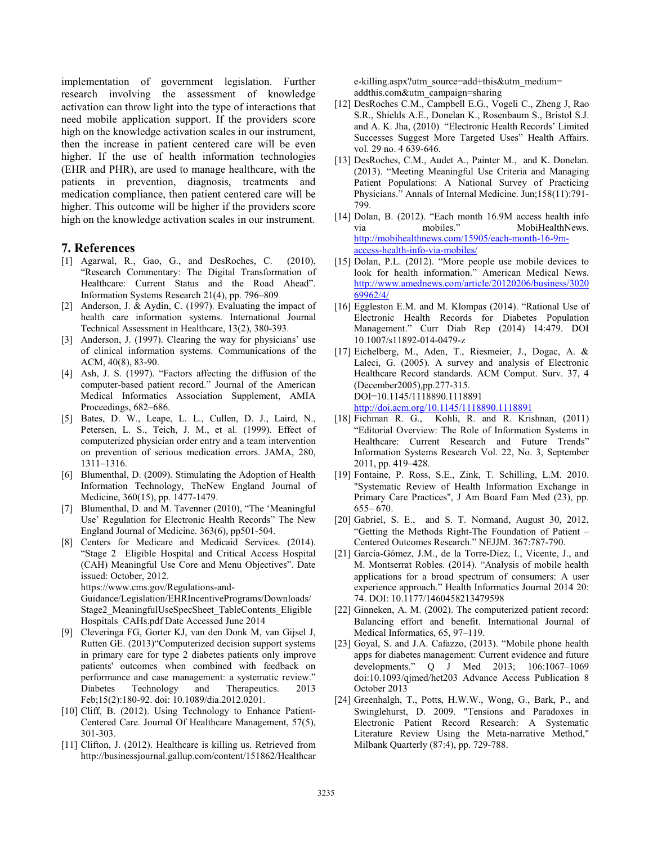implementation of government legislation. Further research involving the assessment of knowledge activation can throw light into the type of interactions that need mobile application support. If the providers score high on the knowledge activation scales in our instrument, then the increase in patient centered care will be even higher. If the use of health information technologies (EHR and PHR), are used to manage healthcare, with the patients in prevention, diagnosis, treatments and medication compliance, then patient centered care will be higher. This outcome will be higher if the providers score high on the knowledge activation scales in our instrument.

#### **7. References**

- [1] Agarwal, R., Gao, G., and DesRoches, C. (2010), "Research Commentary: The Digital Transformation of Healthcare: Current Status and the Road Ahead". Information Systems Research 21(4), pp. 796–809
- [2] Anderson, J. & Aydin, C. (1997). Evaluating the impact of health care information systems. International Journal Technical Assessment in Healthcare, 13(2), 380-393.
- [3] Anderson, J. (1997). Clearing the way for physicians' use of clinical information systems. Communications of the ACM, 40(8), 83-90.
- [4] Ash, J. S. (1997). "Factors affecting the diffusion of the computer-based patient record." Journal of the American Medical Informatics Association Supplement, AMIA Proceedings, 682–686.
- [5] Bates, D. W., Leape, L. L., Cullen, D. J., Laird, N., Petersen, L. S., Teich, J. M., et al. (1999). Effect of computerized physician order entry and a team intervention on prevention of serious medication errors. JAMA, 280, 1311–1316.
- [6] Blumenthal, D. (2009). Stimulating the Adoption of Health Information Technology, TheNew England Journal of Medicine, 360(15), pp. 1477-1479.
- [7] Blumenthal, D. and M. Tavenner (2010), "The 'Meaningful Use' Regulation for Electronic Health Records" The New England Journal of Medicine. 363(6), pp501-504.
- [8] Centers for Medicare and Medicaid Services. (2014). "Stage 2 Eligible Hospital and Critical Access Hospital (CAH) Meaningful Use Core and Menu Objectives". Date issued: October, 2012. https://www.cms.gov/Regulations-and-Guidance/Legislation/EHRIncentivePrograms/Downloads/ Stage2\_MeaningfulUseSpecSheet\_TableContents\_Eligible
- Hospitals\_CAHs.pdf Date Accessed June 2014 [9] Cleveringa FG, Gorter KJ, van den Donk M, van Gijsel J, Rutten GE. (2013)"Computerized decision support systems in primary care for type 2 diabetes patients only improve patients' outcomes when combined with feedback on performance and case management: a systematic review." Diabetes Technology and Therapeutics. 2013 Feb;15(2):180-92. doi: 10.1089/dia.2012.0201.
- [10] Cliff, B. (2012). Using Technology to Enhance Patient-Centered Care. Journal Of Healthcare Management, 57(5), 301-303.
- [11] Clifton, J. (2012). Healthcare is killing us. Retrieved from http://businessjournal.gallup.com/content/151862/Healthcar

e-killing.aspx?utm\_source=add+this&utm\_medium= addthis.com&utm\_campaign=sharing

- [12] DesRoches C.M., Campbell E.G., Vogeli C., Zheng J, Rao S.R., Shields A.E., Donelan K., Rosenbaum S., Bristol S.J. and A. K. Jha, (2010) "Electronic Health Records' Limited Successes Suggest More Targeted Uses" Health Affairs. vol. 29 no. 4 639-646.
- [13] DesRoches, C.M., Audet A., Painter M., and K. Donelan. (2013). "Meeting Meaningful Use Criteria and Managing Patient Populations: A National Survey of Practicing Physicians." Annals of Internal Medicine. Jun;158(11):791- 799.
- [14] Dolan, B. (2012). "Each month 16.9M access health info via mobiles." MobiHealthNews. http://mobihealthnews.com/15905/each-month-16-9maccess-health-info-via-mobiles/
- [15] Dolan, P.L. (2012). "More people use mobile devices to look for health information." American Medical News. http://www.amednews.com/article/20120206/business/3020 69962/4/
- [16] Eggleston E.M. and M. Klompas (2014). "Rational Use of Electronic Health Records for Diabetes Population Management." Curr Diab Rep (2014) 14:479. DOI 10.1007/s11892-014-0479-z
- [17] Eichelberg, M., Aden, T., Riesmeier, J., Dogac, A. & Laleci, G. (2005). A survey and analysis of Electronic Healthcare Record standards. ACM Comput. Surv. 37, 4 (December2005),pp.277-315. DOI=10.1145/1118890.1118891 http://doi.acm.org/10.1145/1118890.1118891
- [18] Fichman R. G., Kohli, R. and R. Krishnan, (2011) "Editorial Overview: The Role of Information Systems in Healthcare: Current Research and Future Trends" Information Systems Research Vol. 22, No. 3, September 2011, pp. 419–428.
- [19] Fontaine, P. Ross, S.E., Zink, T. Schilling, L.M. 2010. "Systematic Review of Health Information Exchange in Primary Care Practices", J Am Board Fam Med (23), pp. 655– 670.
- [20] Gabriel, S. E., and S. T. Normand, August 30, 2012, "Getting the Methods Right-The Foundation of Patient – Centered Outcomes Research." NEJJM. 367:787-790.
- [21] García-Gómez, J.M., de la Torre-Díez, I., Vicente, J., and M. Montserrat Robles. (2014). "Analysis of mobile health applications for a broad spectrum of consumers: A user experience approach." Health Informatics Journal 2014 20: 74. DOI: 10.1177/1460458213479598
- [22] Ginneken, A. M. (2002). The computerized patient record: Balancing effort and benefit. International Journal of Medical Informatics, 65, 97–119.
- [23] Goyal, S. and J.A. Cafazzo, (2013). "Mobile phone health apps for diabetes management: Current evidence and future developments." Q J Med 2013; 106:1067–1069 doi:10.1093/qjmed/hct203 Advance Access Publication 8 October 2013
- [24] Greenhalgh, T., Potts, H.W.W., Wong, G., Bark, P., and Swinglehurst, D. 2009. "Tensions and Paradoxes in Electronic Patient Record Research: A Systematic Literature Review Using the Meta-narrative Method," Milbank Quarterly (87:4), pp. 729-788.